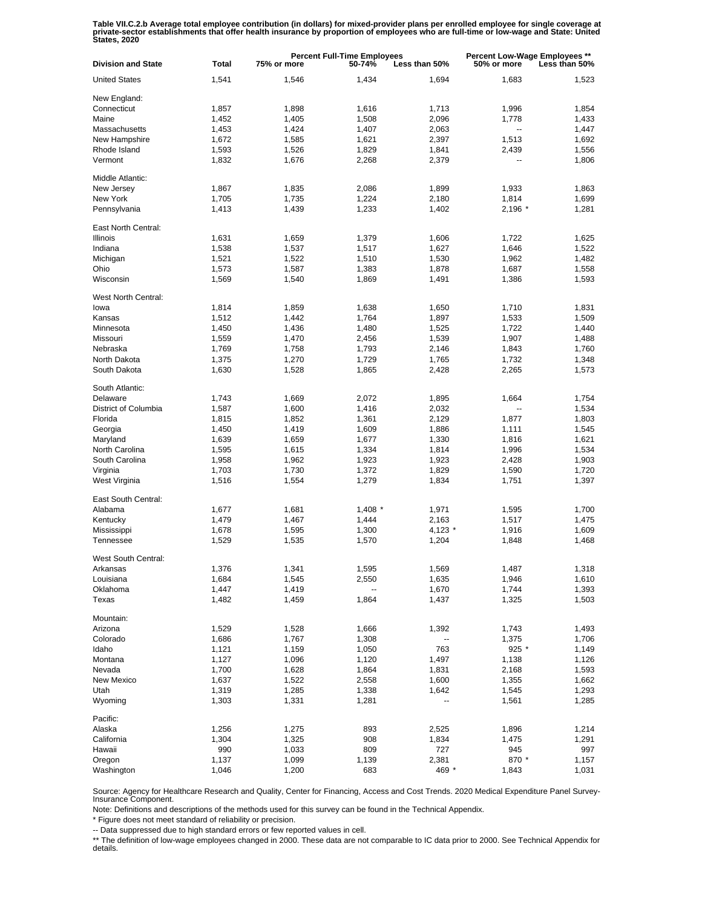Table VII.C.2.b Average total employee contribution (in dollars) for mixed-provider plans per enrolled employee for single coverage at<br>private-sector establishments that offer health insurance by proportion of employees wh

| <b>Division and State</b> | Total | <b>Percent Full-Time Employees</b><br>75% or more<br>Less than 50%<br>50-74% |           |         | <b>Percent Low-Wage Employees **</b><br>50% or more<br>Less than 50% |       |
|---------------------------|-------|------------------------------------------------------------------------------|-----------|---------|----------------------------------------------------------------------|-------|
| <b>United States</b>      | 1,541 | 1,546                                                                        | 1,434     | 1,694   | 1,683                                                                | 1,523 |
| New England:              |       |                                                                              |           |         |                                                                      |       |
| Connecticut               | 1,857 | 1,898                                                                        | 1,616     | 1,713   | 1,996                                                                | 1,854 |
| Maine                     | 1,452 | 1,405                                                                        | 1,508     | 2,096   | 1,778                                                                | 1,433 |
|                           |       |                                                                              |           |         |                                                                      |       |
| Massachusetts             | 1,453 | 1,424                                                                        | 1,407     | 2,063   |                                                                      | 1,447 |
| New Hampshire             | 1,672 | 1,585                                                                        | 1,621     | 2,397   | 1,513                                                                | 1,692 |
| Rhode Island              | 1,593 | 1,526                                                                        | 1,829     | 1,841   | 2,439                                                                | 1,556 |
| Vermont                   | 1,832 | 1,676                                                                        | 2,268     | 2,379   |                                                                      | 1,806 |
| Middle Atlantic:          |       |                                                                              |           |         |                                                                      |       |
| New Jersey                | 1,867 | 1,835                                                                        | 2,086     | 1,899   | 1,933                                                                | 1,863 |
| New York                  | 1,705 | 1,735                                                                        | 1,224     | 2,180   | 1,814                                                                | 1,699 |
|                           |       |                                                                              |           |         |                                                                      |       |
| Pennsylvania              | 1,413 | 1,439                                                                        | 1,233     | 1,402   | 2,196 *                                                              | 1,281 |
| East North Central:       |       |                                                                              |           |         |                                                                      |       |
| Illinois                  | 1,631 | 1,659                                                                        | 1,379     | 1,606   | 1,722                                                                | 1,625 |
| Indiana                   | 1,538 | 1,537                                                                        | 1,517     | 1,627   | 1,646                                                                | 1,522 |
| Michigan                  | 1,521 | 1,522                                                                        | 1,510     | 1,530   | 1,962                                                                | 1,482 |
| Ohio                      | 1,573 | 1,587                                                                        | 1,383     | 1,878   | 1,687                                                                | 1,558 |
|                           |       |                                                                              |           |         |                                                                      |       |
| Wisconsin                 | 1,569 | 1,540                                                                        | 1,869     | 1,491   | 1,386                                                                | 1,593 |
| West North Central:       |       |                                                                              |           |         |                                                                      |       |
| lowa                      | 1,814 | 1,859                                                                        | 1,638     | 1,650   | 1,710                                                                | 1,831 |
| Kansas                    | 1,512 | 1,442                                                                        | 1,764     | 1,897   | 1,533                                                                | 1,509 |
| Minnesota                 | 1,450 | 1,436                                                                        | 1,480     | 1,525   | 1,722                                                                | 1,440 |
| Missouri                  | 1,559 | 1,470                                                                        | 2,456     | 1,539   | 1,907                                                                | 1,488 |
|                           |       |                                                                              |           |         |                                                                      |       |
| Nebraska                  | 1,769 | 1,758                                                                        | 1,793     | 2,146   | 1,843                                                                | 1,760 |
| North Dakota              | 1,375 | 1,270                                                                        | 1,729     | 1,765   | 1,732                                                                | 1,348 |
| South Dakota              | 1,630 | 1,528                                                                        | 1,865     | 2,428   | 2,265                                                                | 1,573 |
| South Atlantic:           |       |                                                                              |           |         |                                                                      |       |
| Delaware                  | 1,743 | 1,669                                                                        | 2,072     | 1,895   | 1,664                                                                | 1,754 |
| District of Columbia      | 1,587 | 1,600                                                                        | 1,416     | 2,032   | $\overline{\phantom{a}}$                                             | 1,534 |
|                           |       |                                                                              |           |         |                                                                      |       |
| Florida                   | 1,815 | 1,852                                                                        | 1,361     | 2,129   | 1,877                                                                | 1,803 |
| Georgia                   | 1,450 | 1,419                                                                        | 1,609     | 1,886   | 1,111                                                                | 1,545 |
| Maryland                  | 1,639 | 1,659                                                                        | 1,677     | 1,330   | 1,816                                                                | 1,621 |
| North Carolina            | 1,595 | 1,615                                                                        | 1,334     | 1,814   | 1,996                                                                | 1,534 |
| South Carolina            | 1,958 | 1,962                                                                        | 1,923     | 1,923   | 2,428                                                                | 1,903 |
|                           |       |                                                                              |           |         |                                                                      |       |
| Virginia                  | 1,703 | 1,730                                                                        | 1,372     | 1,829   | 1,590                                                                | 1,720 |
| West Virginia             | 1,516 | 1,554                                                                        | 1,279     | 1,834   | 1,751                                                                | 1,397 |
| East South Central:       |       |                                                                              |           |         |                                                                      |       |
| Alabama                   | 1,677 | 1,681                                                                        | $1,408$ * | 1,971   | 1,595                                                                | 1,700 |
| Kentucky                  | 1,479 | 1,467                                                                        | 1,444     | 2,163   | 1,517                                                                | 1,475 |
| Mississippi               | 1,678 | 1,595                                                                        | 1,300     | 4,123 * | 1,916                                                                | 1,609 |
|                           |       |                                                                              |           |         |                                                                      |       |
| Tennessee                 | 1,529 | 1,535                                                                        | 1,570     | 1,204   | 1,848                                                                | 1,468 |
| West South Central:       |       |                                                                              |           |         |                                                                      |       |
| Arkansas                  | 1,376 | 1,341                                                                        | 1,595     | 1,569   | 1,487                                                                | 1,318 |
| Louisiana                 | 1,684 | 1,545                                                                        | 2,550     | 1,635   | 1,946                                                                | 1,610 |
| Oklahoma                  | 1,447 | 1,419                                                                        |           | 1,670   | 1,744                                                                | 1,393 |
| Texas                     | 1,482 | 1,459                                                                        | 1,864     | 1,437   | 1,325                                                                | 1,503 |
|                           |       |                                                                              |           |         |                                                                      |       |
| Mountain:                 |       |                                                                              |           |         |                                                                      |       |
| Arizona                   | 1,529 | 1,528                                                                        | 1,666     | 1,392   | 1,743                                                                | 1,493 |
| Colorado                  | 1,686 | 1,767                                                                        | 1,308     |         | 1,375                                                                | 1,706 |
| Idaho                     | 1,121 | 1,159                                                                        | 1,050     | 763     | 925 *                                                                | 1,149 |
| Montana                   | 1,127 | 1,096                                                                        | 1,120     | 1,497   | 1,138                                                                | 1,126 |
|                           |       |                                                                              |           |         |                                                                      |       |
| Nevada                    | 1,700 | 1,628                                                                        | 1,864     | 1,831   | 2,168                                                                | 1,593 |
| New Mexico                | 1,637 | 1,522                                                                        | 2,558     | 1,600   | 1,355                                                                | 1,662 |
| Utah                      | 1,319 | 1,285                                                                        | 1,338     | 1,642   | 1,545                                                                | 1,293 |
| Wyoming                   | 1,303 | 1,331                                                                        | 1,281     |         | 1,561                                                                | 1,285 |
| Pacific:                  |       |                                                                              |           |         |                                                                      |       |
|                           |       |                                                                              |           |         |                                                                      |       |
| Alaska                    | 1,256 | 1,275                                                                        | 893       | 2,525   | 1,896                                                                | 1,214 |
| California                | 1,304 | 1,325                                                                        | 908       | 1,834   | 1,475                                                                | 1,291 |
| Hawaii                    | 990   | 1,033                                                                        | 809       | 727     | 945                                                                  | 997   |
| Oregon                    | 1,137 | 1,099                                                                        | 1,139     | 2,381   | 870 *                                                                | 1,157 |
| Washington                | 1,046 | 1,200                                                                        | 683       | 469 *   | 1,843                                                                | 1,031 |

Source: Agency for Healthcare Research and Quality, Center for Financing, Access and Cost Trends. 2020 Medical Expenditure Panel Survey-Insurance Component.

Note: Definitions and descriptions of the methods used for this survey can be found in the Technical Appendix.

\* Figure does not meet standard of reliability or precision.

-- Data suppressed due to high standard errors or few reported values in cell.

\*\* The definition of low-wage employees changed in 2000. These data are not comparable to IC data prior to 2000. See Technical Appendix for details.